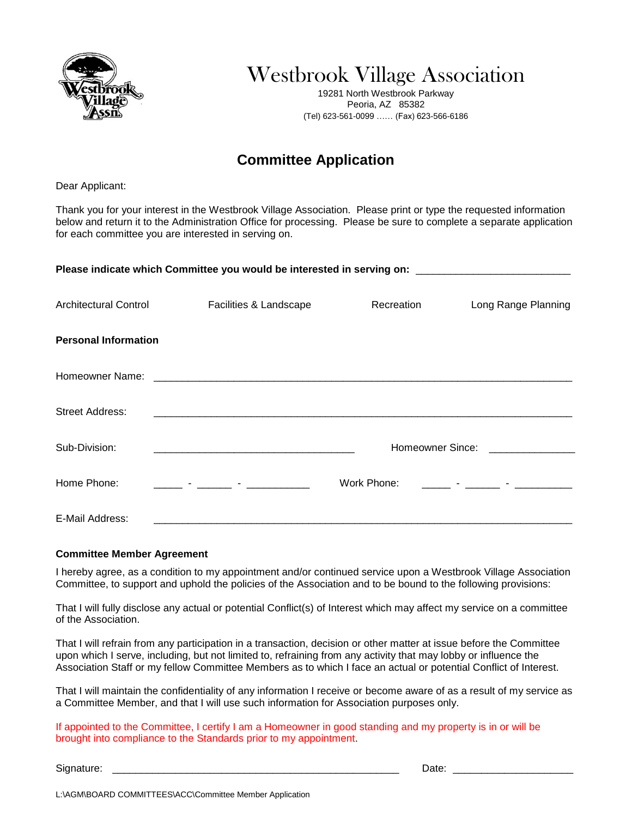

Westbrook Village Association

19281 North Westbrook Parkway Peoria, AZ 85382 (Tel) 623-561-0099 …… (Fax) 623-566-6186

## **Committee Application**

Dear Applicant:

Thank you for your interest in the Westbrook Village Association. Please print or type the requested information below and return it to the Administration Office for processing. Please be sure to complete a separate application for each committee you are interested in serving on.

| Please indicate which Committee you would be interested in serving on: ____________________________ |                                       |                               |                                                                                                                                                                                                                                      |  |  |
|-----------------------------------------------------------------------------------------------------|---------------------------------------|-------------------------------|--------------------------------------------------------------------------------------------------------------------------------------------------------------------------------------------------------------------------------------|--|--|
| <b>Architectural Control</b>                                                                        | Facilities & Landscape                | Recreation                    | Long Range Planning                                                                                                                                                                                                                  |  |  |
| <b>Personal Information</b>                                                                         |                                       |                               |                                                                                                                                                                                                                                      |  |  |
|                                                                                                     |                                       |                               |                                                                                                                                                                                                                                      |  |  |
| <b>Street Address:</b>                                                                              |                                       |                               |                                                                                                                                                                                                                                      |  |  |
| Sub-Division:                                                                                       |                                       | Homeowner Since: North States |                                                                                                                                                                                                                                      |  |  |
| Home Phone:                                                                                         | <u> 1986 - Jan Barbara (h. 1986).</u> | Work Phone:                   | <u> 1999 - Jan Barnett, film ann an 1999 - Ann an 1999 - Ann an 1999 - Ann an 1999 - Ann an 1999 - Ann an 1999 - Ann an 1999 - Ann an 1999 - Ann an 1999 - Ann an 1999 - Ann an 1999 - Ann an 1999 - Ann an 1999 - Ann an 1999 -</u> |  |  |
| E-Mail Address:                                                                                     |                                       |                               |                                                                                                                                                                                                                                      |  |  |

## **Committee Member Agreement**

I hereby agree, as a condition to my appointment and/or continued service upon a Westbrook Village Association Committee, to support and uphold the policies of the Association and to be bound to the following provisions:

That I will fully disclose any actual or potential Conflict(s) of Interest which may affect my service on a committee of the Association.

That I will refrain from any participation in a transaction, decision or other matter at issue before the Committee upon which I serve, including, but not limited to, refraining from any activity that may lobby or influence the Association Staff or my fellow Committee Members as to which I face an actual or potential Conflict of Interest.

That I will maintain the confidentiality of any information I receive or become aware of as a result of my service as a Committee Member, and that I will use such information for Association purposes only.

If appointed to the Committee, I certify I am a Homeowner in good standing and my property is in or will be brought into compliance to the Standards prior to my appointment.

Signature: \_\_\_\_\_\_\_\_\_\_\_\_\_\_\_\_\_\_\_\_\_\_\_\_\_\_\_\_\_\_\_\_\_\_\_\_\_\_\_\_\_\_\_\_\_\_\_\_\_\_ Date: \_\_\_\_\_\_\_\_\_\_\_\_\_\_\_\_\_\_\_\_\_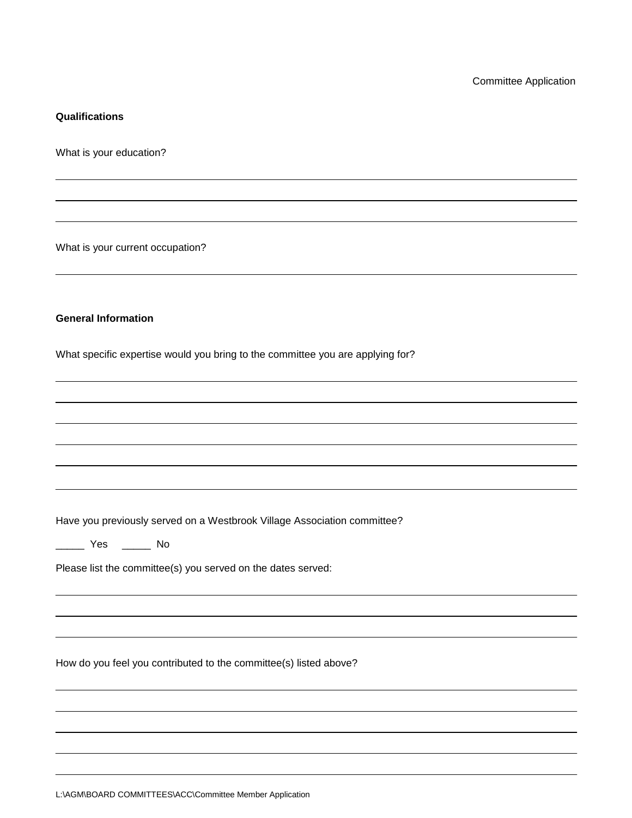## **Qualifications**

What is your education?

What is your current occupation?

## **General Information**

What specific expertise would you bring to the committee you are applying for?

Have you previously served on a Westbrook Village Association committee?

\_\_\_\_\_ Yes \_\_\_\_\_ No

Please list the committee(s) you served on the dates served:

How do you feel you contributed to the committee(s) listed above?